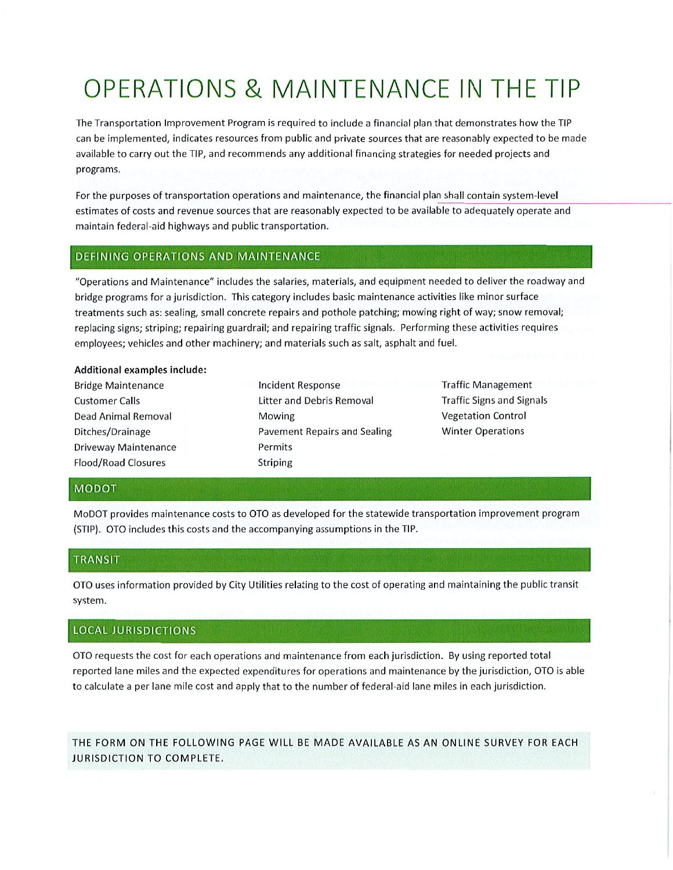# OPERATIONS & MAINTENANCE IN THE TIP

The Transportation Improvement Program is required to include <sup>a</sup> financial plan that demonstrates how the TIP can be implemented, indicates resources from public and private sources that are reasonably expected to be made available to carry out the TIP, and recommends any additional financing strategies for needed projects and programs.

For the purposes of transportation operations and maintenance, the financial plan shall contain system-level estimates of costs and revenue sources that are reasonably expected to be available to adequately operate and maintain federal-aid highways and public transportation.

#### DEFINING OPERATIONS AND MAINTENANCE

"Operations and Maintenance" includes the salaries, materials, and equipment needed to deliver the roadway and bridge programs for <sup>a</sup> jurisdiction. This category includes basic maintenance activities like minor surface treatments such as: sealing, small concrete repairs and pothole patching; mowing right of way; snow removal; replacing signs; striping; repairing guardrail; and repairing traffic signals. Performing these activities requires employees; vehicles and other machinery; and materials such as salt, asphalt and fuel.

#### Additional examples include:

- Bridge Maintenance **Customer Calls** Dead Animal Removal Ditches/Drainage Driveway Maintenance Flood/Road Closures
- Incident Response Litter and Debris Removal Mowing Pavement Repairs and Sealing Permits Striping
- Traffic Management Traffic Signs and Signals Vegetation Control Winter Operations

#### **MODOT**

MoDOT provides maintenance costs to OTO as developed for the statewide transportation improvement program (STIP). OTO includes this costs and the accompanying assumptions in the TIP.

#### **TRANSIT**

OTO uses information provided by City Utilities relating to the cost of operating and maintaining the public transit system.

### LOCALJURISDICTIONS

OTO requests the cost for each operations and maintenance from each Jurisdiction. By using reported total reported lane miles and the expected expenditures for operations and maintenance by the jurisdiction, OTO is able to calculate <sup>a</sup> per lane mife cost and apply that to the number of federal-aid lane miles in each jurisdiction.

THE FORM ON THE FOLLOWING PAGE WILL BE MADE AVAILABLE AS AN ONLINE SURVEY FOR EACH JURISDICTION TO COMPLETE.